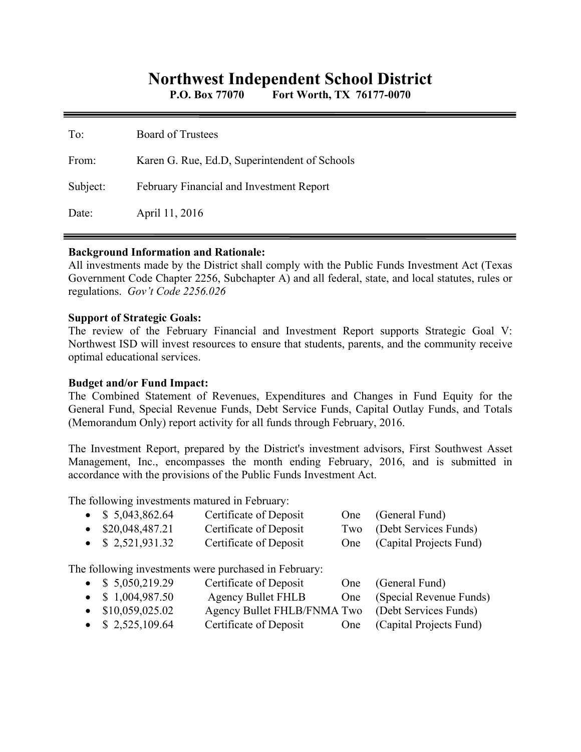# **Northwest Independent School District**

**P.O. Box 77070 Fort Worth, TX 76177-0070** 

| To:      | <b>Board of Trustees</b>                      |
|----------|-----------------------------------------------|
| From:    | Karen G. Rue, Ed.D, Superintendent of Schools |
| Subject: | February Financial and Investment Report      |
| Date:    | April 11, 2016                                |

#### **Background Information and Rationale:**

All investments made by the District shall comply with the Public Funds Investment Act (Texas Government Code Chapter 2256, Subchapter A) and all federal, state, and local statutes, rules or regulations. *Gov't Code 2256.026* 

#### **Support of Strategic Goals:**

The review of the February Financial and Investment Report supports Strategic Goal V: Northwest ISD will invest resources to ensure that students, parents, and the community receive optimal educational services.

### **Budget and/or Fund Impact:**

The Combined Statement of Revenues, Expenditures and Changes in Fund Equity for the General Fund, Special Revenue Funds, Debt Service Funds, Capital Outlay Funds, and Totals (Memorandum Only) report activity for all funds through February, 2016.

The Investment Report, prepared by the District's investment advisors, First Southwest Asset Management, Inc., encompasses the month ending February, 2016, and is submitted in accordance with the provisions of the Public Funds Investment Act.

The following investments matured in February:

|           | The following investments matured in February. |                                                       |     |                         |
|-----------|------------------------------------------------|-------------------------------------------------------|-----|-------------------------|
| $\bullet$ | \$5,043,862.64                                 | Certificate of Deposit                                | One | (General Fund)          |
|           | $\bullet$ \$20,048,487.21                      | Certificate of Deposit                                | Two | (Debt Services Funds)   |
|           | • $$2,521,931.32$                              | Certificate of Deposit                                | One | (Capital Projects Fund) |
|           |                                                | The following investments were purchased in February: |     |                         |
|           | • $$5,050,219.29$                              | Certificate of Deposit                                | One | (General Fund)          |
|           | • $$1,004,987.50$                              | <b>Agency Bullet FHLB</b>                             | One | (Special Revenue Funds) |
|           | $\bullet$ \$10,059,025.02                      | Agency Bullet FHLB/FNMA Two                           |     | (Debt Services Funds)   |
|           | \$2,525,109.64                                 | Certificate of Deposit                                | One | (Capital Projects Fund) |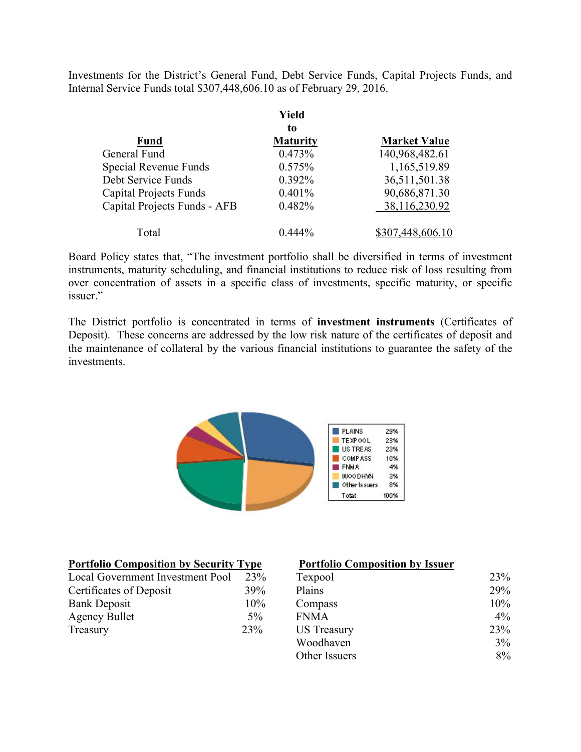Investments for the District's General Fund, Debt Service Funds, Capital Projects Funds, and Internal Service Funds total \$307,448,606.10 as of February 29, 2016.

|                               | Yield           |                     |
|-------------------------------|-----------------|---------------------|
|                               | to              |                     |
| <b>Fund</b>                   | <b>Maturity</b> | <b>Market Value</b> |
| General Fund                  | 0.473%          | 140,968,482.61      |
| Special Revenue Funds         | 0.575%          | 1,165,519.89        |
| Debt Service Funds            | 0.392%          | 36,511,501.38       |
| <b>Capital Projects Funds</b> | 0.401%          | 90,686,871.30       |
| Capital Projects Funds - AFB  | 0.482%          | 38,116,230.92       |
| Total                         | $0.444\%$       | \$307,448,606.10    |

Board Policy states that, "The investment portfolio shall be diversified in terms of investment instruments, maturity scheduling, and financial institutions to reduce risk of loss resulting from over concentration of assets in a specific class of investments, specific maturity, or specific issuer."

The District portfolio is concentrated in terms of **investment instruments** (Certificates of Deposit). These concerns are addressed by the low risk nature of the certificates of deposit and the maintenance of collateral by the various financial institutions to guarantee the safety of the investments.



| <b>Portfolio Composition by Security Type</b> |       | <b>Portfolio Composition by Issuer</b> |       |
|-----------------------------------------------|-------|----------------------------------------|-------|
| Local Government Investment Pool              | 23%   | Texpool                                | 23%   |
| Certificates of Deposit                       | 39%   | Plains                                 | 29%   |
| Bank Deposit                                  | 10%   | Compass                                | 10%   |
| Agency Bullet                                 | $5\%$ | <b>FNMA</b>                            | $4\%$ |
| Treasury                                      | 23%   | <b>US</b> Treasury                     | 23%   |
|                                               |       | Woodhaven                              | 3%    |
|                                               |       | Other Issuers                          | 8%    |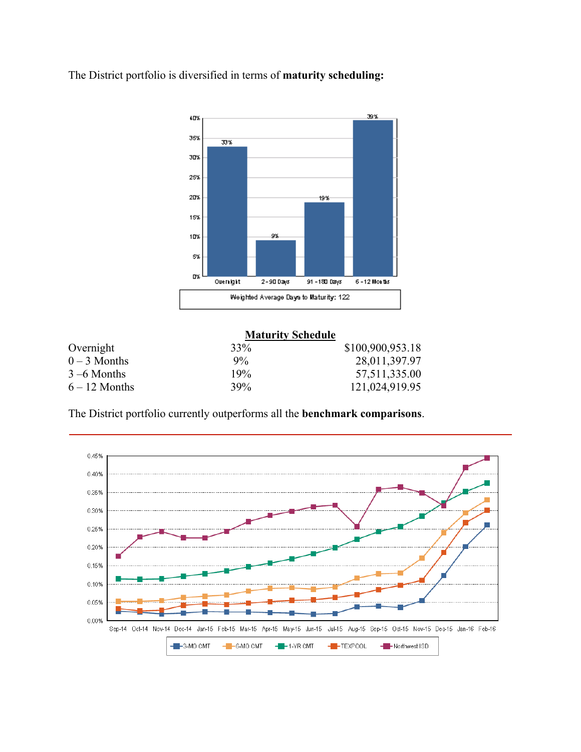The District portfolio is diversified in terms of **maturity scheduling:** 



|                 | <b>Maturity Schedule</b> |                  |
|-----------------|--------------------------|------------------|
| Overnight       | 33%                      | \$100,900,953.18 |
| $0 - 3$ Months  | $9\%$                    | 28,011,397.97    |
| $3 - 6$ Months  | 19%                      | 57,511,335.00    |
| $6 - 12$ Months | 39%                      | 121,024,919.95   |

The District portfolio currently outperforms all the **benchmark comparisons**.

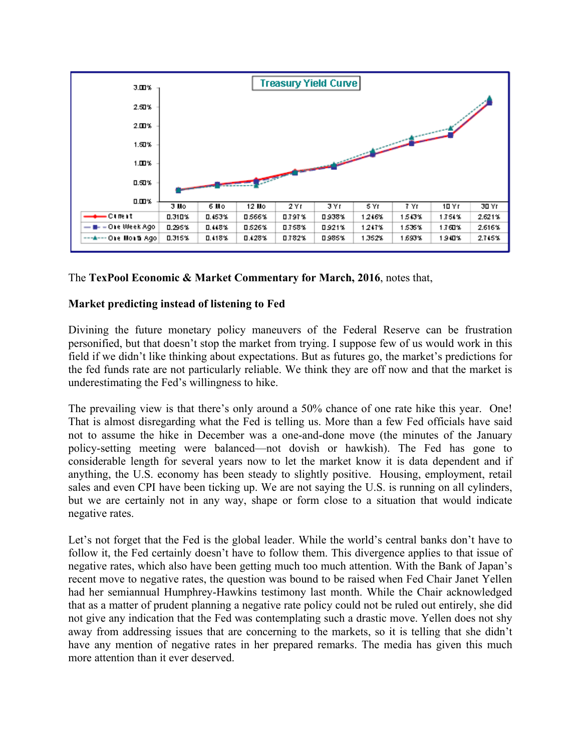

# The **TexPool Economic & Market Commentary for March, 2016**, notes that,

# **Market predicting instead of listening to Fed**

Divining the future monetary policy maneuvers of the Federal Reserve can be frustration personified, but that doesn't stop the market from trying. I suppose few of us would work in this field if we didn't like thinking about expectations. But as futures go, the market's predictions for the fed funds rate are not particularly reliable. We think they are off now and that the market is underestimating the Fed's willingness to hike.

The prevailing view is that there's only around a 50% chance of one rate hike this year. One! That is almost disregarding what the Fed is telling us. More than a few Fed officials have said not to assume the hike in December was a one-and-done move (the minutes of the January policy-setting meeting were balanced—not dovish or hawkish). The Fed has gone to considerable length for several years now to let the market know it is data dependent and if anything, the U.S. economy has been steady to slightly positive. Housing, employment, retail sales and even CPI have been ticking up. We are not saying the U.S. is running on all cylinders, but we are certainly not in any way, shape or form close to a situation that would indicate negative rates.

Let's not forget that the Fed is the global leader. While the world's central banks don't have to follow it, the Fed certainly doesn't have to follow them. This divergence applies to that issue of negative rates, which also have been getting much too much attention. With the Bank of Japan's recent move to negative rates, the question was bound to be raised when Fed Chair Janet Yellen had her semiannual Humphrey-Hawkins testimony last month. While the Chair acknowledged that as a matter of prudent planning a negative rate policy could not be ruled out entirely, she did not give any indication that the Fed was contemplating such a drastic move. Yellen does not shy away from addressing issues that are concerning to the markets, so it is telling that she didn't have any mention of negative rates in her prepared remarks. The media has given this much more attention than it ever deserved.